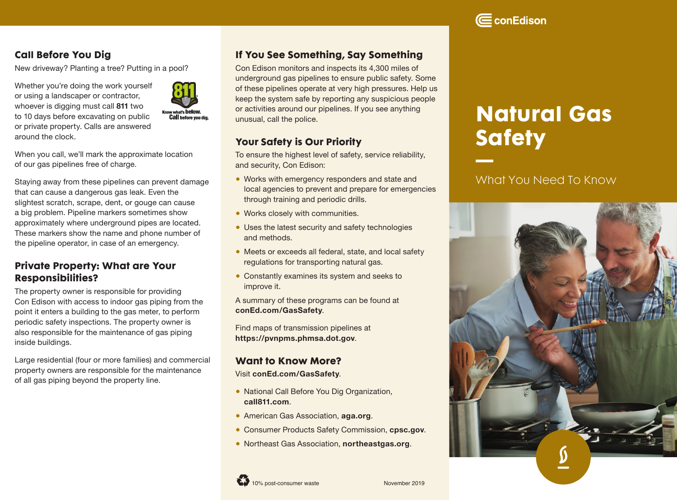# $\boldsymbol{\Xi}$  conEdison

## Call Before You Dig

New driveway? Planting a tree? Putting in a pool?

Whether you're doing the work yourself or using a landscaper or contractor, whoever is digging must call **811** two to 10 days before excavating on public or private property. Calls are answered around the clock.



When you call, we'll mark the approximate location of our gas pipelines free of charge.

Staying away from these pipelines can prevent damage that can cause a dangerous gas leak. Even the slightest scratch, scrape, dent, or gouge can cause a big problem. Pipeline markers sometimes show approximately where underground pipes are located. These markers show the name and phone number of the pipeline operator, in case of an emergency.

## Private Property: What are Your Responsibilities?

The property owner is responsible for providing Con Edison with access to indoor gas piping from the point it enters a building to the gas meter, to perform periodic safety inspections. The property owner is also responsible for the maintenance of gas piping inside buildings.

Large residential (four or more families) and commercial property owners are responsible for the maintenance of all gas piping beyond the property line.

## If You See Something, Say Something

Con Edison monitors and inspects its 4,300 miles of underground gas pipelines to ensure public safety. Some of these pipelines operate at very high pressures. Help us keep the system safe by reporting any suspicious people or activities around our pipelines. If you see anything unusual, call the police.

## Your Safety is Our Priority

To ensure the highest level of safety, service reliability, and security, Con Edison:

- Works with emergency responders and state and local agencies to prevent and prepare for emergencies through training and periodic drills.
- Works closely with communities.
- Uses the latest security and safety technologies and methods.
- Meets or exceeds all federal, state, and local safety regulations for transporting natural gas.
- Constantly examines its system and seeks to improve it.

A summary of these programs can be found at **[conEd.com/GasSafety](https://conEd.com/GasSafety)**.

Find maps of transmission pipelines at **<https://pvnpms.phmsa.dot.gov>**.

#### Want to Know More?

Visit **[conEd.com/GasSafety](https://conEd.com/GasSafety)**.

- National Call Before You Dig Organization, **[call811.com](https://call811.com)**.
- American Gas Association, **aga.org**.
- Consumer Products Safety Commission, **[cpsc.gov](https://cpsc.gov)**.
- Northeast Gas Association, **[northeastgas.org](https://northeastgas.org)**.



# Natural Gas **Safety**

# What You Need To Know